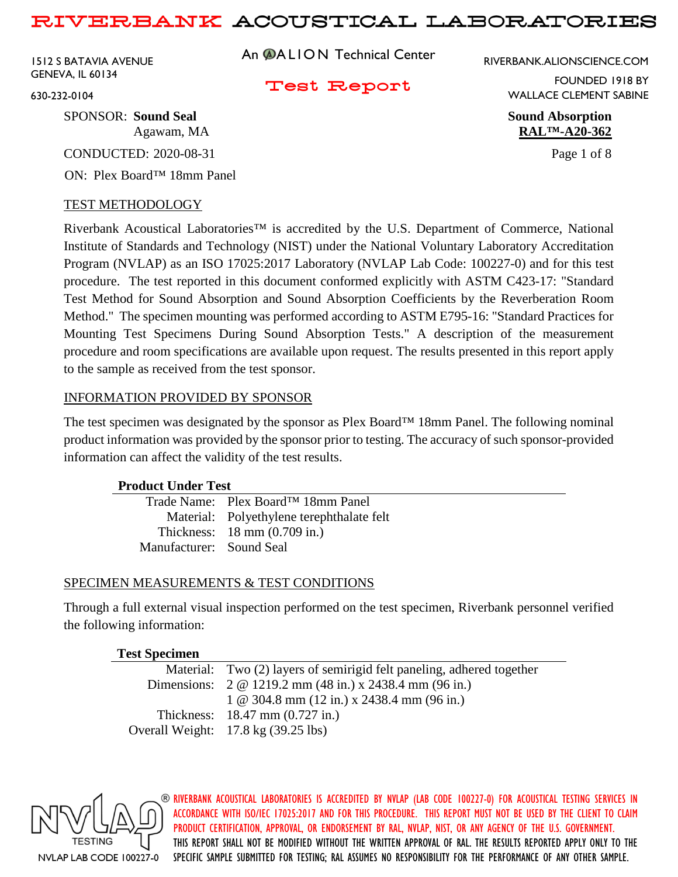1512 S BATAVIA AVENUE GENEVA, IL 60134

An **@ALION** Technical Center

RIVERBANK.ALIONSCIENCE.COM

Test Report

FOUNDED 1918 BY WALLACE CLEMENT SABINE

Agawam, MA **RAL™-A20-362**

630-232-0104

SPONSOR: **Sound Seal Sound Absorption**

CONDUCTED: 2020-08-31 Page 1 of 8

ON: Plex Board™ 18mm Panel

## TEST METHODOLOGY

Riverbank Acoustical Laboratories™ is accredited by the U.S. Department of Commerce, National Institute of Standards and Technology (NIST) under the National Voluntary Laboratory Accreditation Program (NVLAP) as an ISO 17025:2017 Laboratory (NVLAP Lab Code: 100227-0) and for this test procedure. The test reported in this document conformed explicitly with ASTM C423-17: "Standard Test Method for Sound Absorption and Sound Absorption Coefficients by the Reverberation Room Method." The specimen mounting was performed according to ASTM E795-16: "Standard Practices for Mounting Test Specimens During Sound Absorption Tests." A description of the measurement procedure and room specifications are available upon request. The results presented in this report apply to the sample as received from the test sponsor.

## INFORMATION PROVIDED BY SPONSOR

The test specimen was designated by the sponsor as Plex Board™ 18mm Panel. The following nominal product information was provided by the sponsor prior to testing. The accuracy of such sponsor-provided information can affect the validity of the test results.

## **Product Under Test**

|                          | Trade Name: Plex Board™ 18mm Panel        |
|--------------------------|-------------------------------------------|
|                          | Material: Polyethylene terephthalate felt |
|                          | Thickness: $18 \text{ mm}$ (0.709 in.)    |
| Manufacturer: Sound Seal |                                           |

## SPECIMEN MEASUREMENTS & TEST CONDITIONS

Through a full external visual inspection performed on the test specimen, Riverbank personnel verified the following information:

| <b>Test Specimen</b> |
|----------------------|
|----------------------|

| Material: Two (2) layers of semirigid felt paneling, adhered together |
|-----------------------------------------------------------------------|
| Dimensions: $2 \text{ } @$ 1219.2 mm (48 in.) x 2438.4 mm (96 in.)    |
| $1 \& 304.8 \text{ mm}$ (12 in.) x 2438.4 mm (96 in.)                 |
| Thickness: $18.47 \text{ mm} (0.727 \text{ in.})$                     |
| Overall Weight: $17.8 \text{ kg}$ (39.25 lbs)                         |

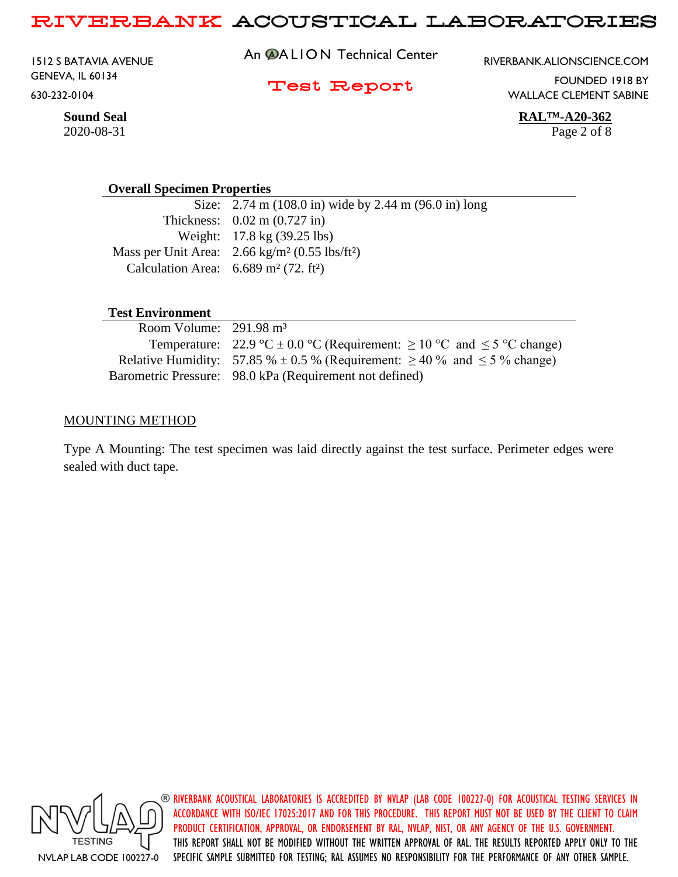1512 S BATAVIA AVENUE GENEVA, IL 60134 630-232-0104

An **@ALION** Technical Center

RIVERBANK.ALIONSCIENCE.COM

Test Report

FOUNDED 1918 BY WALLACE CLEMENT SABINE

**Sound Seal RAL™-A20-362**

#### **Overall Specimen Properties**

Size: 2.74 m (108.0 in) wide by 2.44 m (96.0 in) long Thickness: 0.02 m (0.727 in) Weight: 17.8 kg (39.25 lbs) Mass per Unit Area: 2.66 kg/m² (0.55 lbs/ft²) Calculation Area:  $6.689 \text{ m}^2$  (72. ft<sup>2</sup>)

### **Test Environment**

| Room Volume: $291.98 \text{ m}^3$ |                                                                                         |
|-----------------------------------|-----------------------------------------------------------------------------------------|
|                                   | Temperature: 22.9 °C $\pm$ 0.0 °C (Requirement: $\geq$ 10 °C and $\leq$ 5 °C change)    |
|                                   | Relative Humidity: 57.85 % $\pm$ 0.5 % (Requirement: $\geq$ 40 % and $\leq$ 5 % change) |
|                                   | Barometric Pressure: 98.0 kPa (Requirement not defined)                                 |

### MOUNTING METHOD

Type A Mounting: The test specimen was laid directly against the test surface. Perimeter edges were sealed with duct tape.



RIVERBANK ACOUSTICAL LABORATORIES IS ACCREDITED BY NVLAP (LAB CODE 100227-0) FOR ACOUSTICAL TESTING SERVICES IN ACCORDANCE WITH ISO/IEC 17025:2017 AND FOR THIS PROCEDURE. THIS REPORT MUST NOT BE USED BY THE CLIENT TO CLAIM PRODUCT CERTIFICATION, APPROVAL, OR ENDORSEMENT BY RAL, NVLAP, NIST, OR ANY AGENCY OF THE U.S. GOVERNMENT. THIS REPORT SHALL NOT BE MODIFIED WITHOUT THE WRITTEN APPROVAL OF RAL. THE RESULTS REPORTED APPLY ONLY TO THE SPECIFIC SAMPLE SUBMITTED FOR TESTING; RAL ASSUMES NO RESPONSIBILITY FOR THE PERFORMANCE OF ANY OTHER SAMPLE.

2020-08-31 Page 2 of 8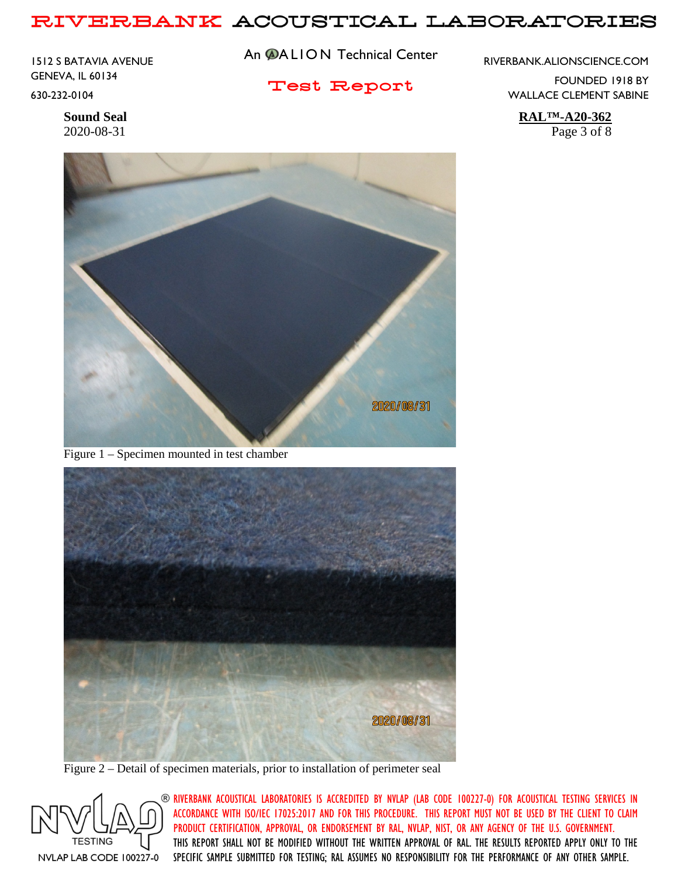1512 S BATAVIA AVENUE GENEVA, IL 60134 630-232-0104

An **@ALION** Technical Center

Test Report

RIVERBANK.ALIONSCIENCE.COM

FOUNDED 1918 BY WALLACE CLEMENT SABINE

**Sound Seal RAL™-A20-362** 2020-08-31 Page 3 of 8



Figure 1 – Specimen mounted in test chamber



Figure 2 – Detail of specimen materials, prior to installation of perimeter seal

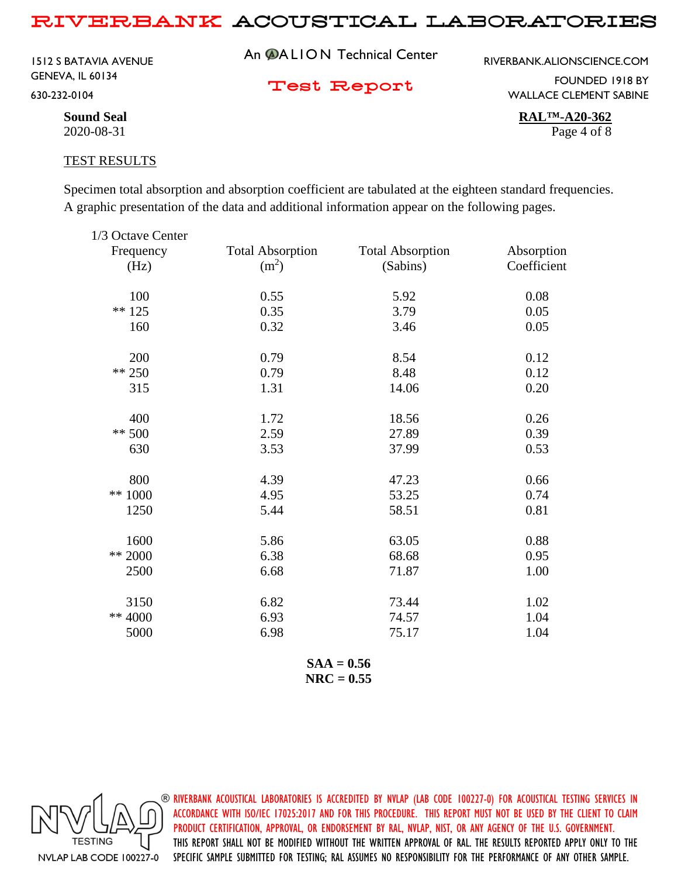1512 S BATAVIA AVENUE GENEVA, IL 60134 630-232-0104

An **@ALION** Technical Center

RIVERBANK.ALIONSCIENCE.COM

Test Report

FOUNDED 1918 BY WALLACE CLEMENT SABINE

**Sound Seal RAL™-A20-362** 2020-08-31 Page 4 of 8

#### TEST RESULTS

Specimen total absorption and absorption coefficient are tabulated at the eighteen standard frequencies. A graphic presentation of the data and additional information appear on the following pages.

| 1/3 Octave Center |                         |                         |             |
|-------------------|-------------------------|-------------------------|-------------|
| Frequency         | <b>Total Absorption</b> | <b>Total Absorption</b> | Absorption  |
| (Hz)              | (m <sup>2</sup> )       | (Sabins)                | Coefficient |
| 100               | 0.55                    | 5.92                    | 0.08        |
| $** 125$          | 0.35                    | 3.79                    | 0.05        |
| 160               | 0.32                    | 3.46                    | 0.05        |
| 200               | 0.79                    | 8.54                    | 0.12        |
| ** 250            | 0.79                    | 8.48                    | 0.12        |
| 315               | 1.31                    | 14.06                   | 0.20        |
| 400               | 1.72                    | 18.56                   | 0.26        |
| $** 500$          | 2.59                    | 27.89                   | 0.39        |
| 630               | 3.53                    | 37.99                   | 0.53        |
| 800               | 4.39                    | 47.23                   | 0.66        |
| ** $1000$         | 4.95                    | 53.25                   | 0.74        |
| 1250              | 5.44                    | 58.51                   | 0.81        |
| 1600              | 5.86                    | 63.05                   | 0.88        |
| ** 2000           | 6.38                    | 68.68                   | 0.95        |
| 2500              | 6.68                    | 71.87                   | 1.00        |
| 3150              | 6.82                    | 73.44                   | 1.02        |
| ** 4000           | 6.93                    | 74.57                   | 1.04        |
| 5000              | 6.98                    | 75.17                   | 1.04        |
|                   |                         |                         |             |

**SAA = 0.56 NRC = 0.55**

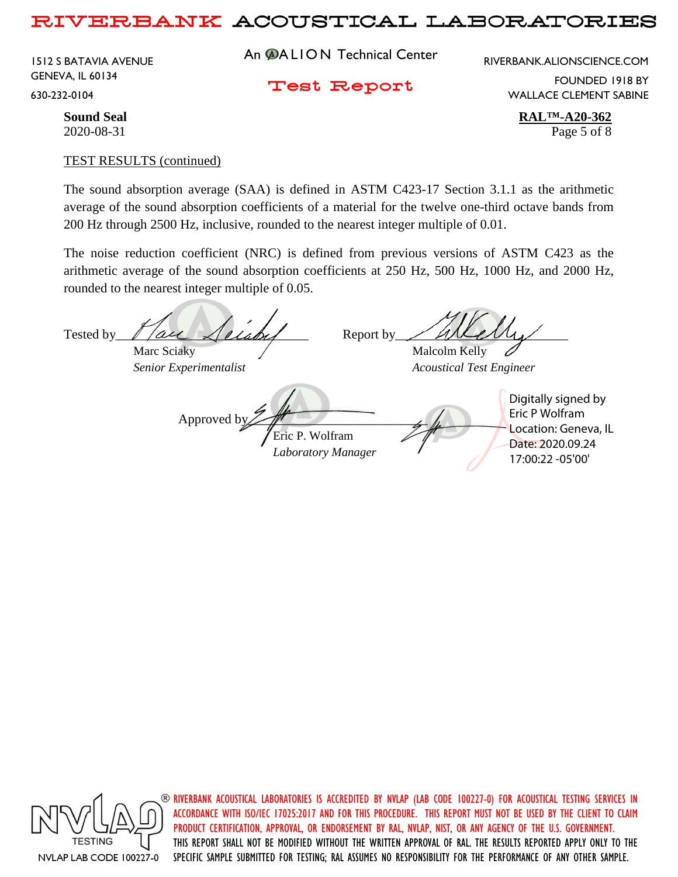1512 S BATAVIA AVENUE GENEVA, IL 60134 630-232-0104

An **@ALION** Technical Center

RIVERBANK.ALIONSCIENCE.COM

Test Report

FOUNDED 1918 BY WALLACE CLEMENT SABINE

**Sound Seal RAL™-A20-362** 2020-08-31 Page 5 of 8

#### TEST RESULTS (continued)

The sound absorption average (SAA) is defined in ASTM C423-17 Section 3.1.1 as the arithmetic average of the sound absorption coefficients of a material for the twelve one-third octave bands from 200 Hz through 2500 Hz, inclusive, rounded to the nearest integer multiple of 0.01.

The noise reduction coefficient (NRC) is defined from previous versions of ASTM C423 as the arithmetic average of the sound absorption coefficients at 250 Hz, 500 Hz, 1000 Hz, and 2000 Hz, rounded to the nearest integer multiple of 0.05.

Tested by  $\ell$  / all  $\ell$  label Report by Marc Sciaky / Malcolm Kelly *Senior Experimentalist Acoustical Test Engineer* Approved b Eric P. Wolfram *Laboratory Manager* Digitally signed by Eric P Wolfram Location: Geneva, IL Date: 2020.09.24 17:00:22 -05'00'



 $\circledast$  riverbank acoustical laboratories is accredited by nylap (lab code 100227-0) for acoustical testing services in ACCORDANCE WITH ISO/IEC 17025:2017 AND FOR THIS PROCEDURE. THIS REPORT MUST NOT BE USED BY THE CLIENT TO CLAIM PRODUCT CERTIFICATION, APPROVAL, OR ENDORSEMENT BY RAL, NVLAP, NIST, OR ANY AGENCY OF THE U.S. GOVERNMENT. THIS REPORT SHALL NOT BE MODIFIED WITHOUT THE WRITTEN APPROVAL OF RAL. THE RESULTS REPORTED APPLY ONLY TO THE SPECIFIC SAMPLE SUBMITTED FOR TESTING; RAL ASSUMES NO RESPONSIBILITY FOR THE PERFORMANCE OF ANY OTHER SAMPLE.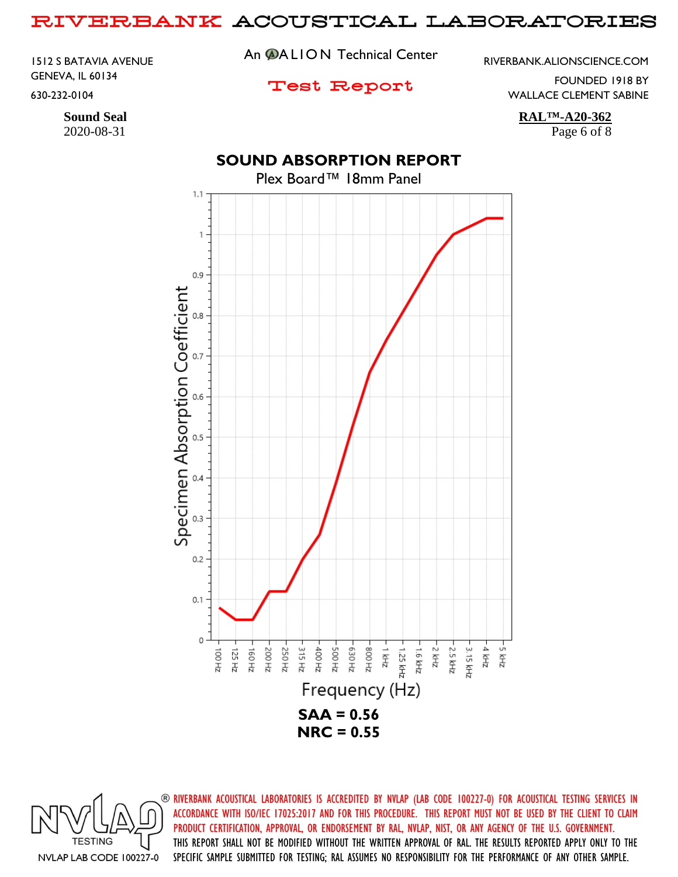1512 S BATAVIA AVENUE GENEVA, IL 60134 630-232-0104

2020-08-31 Page 6 of 8

An **@ALION** Technical Center

RIVERBANK.ALIONSCIENCE.COM

## Test Report

FOUNDED 1918 BY WALLACE CLEMENT SABINE

**Sound Seal RAL™-A20-362**

# **SOUND ABSORPTION REPORT**

## Plex Board™ 18mm Panel  $1.1$ 1  $0.9$ Specimen Absorption Coefficient  $0.8$  $0.6$  $0.5$  $0.4$  $0.3$  $0.2$  $0.1$ 0 -5 kHz 가 하다 315 Hz E30Hz ZH 008-ZHY 2 2.5 kHz 200 Hz 250 Hz 400 Hz ZH 005 과 시 3.15 kHz ZH 001 125 Hz 160 Hz 1.25 kHz 1.6 kHz Frequency (Hz) **SAA = 0.56 NRC = 0.55**

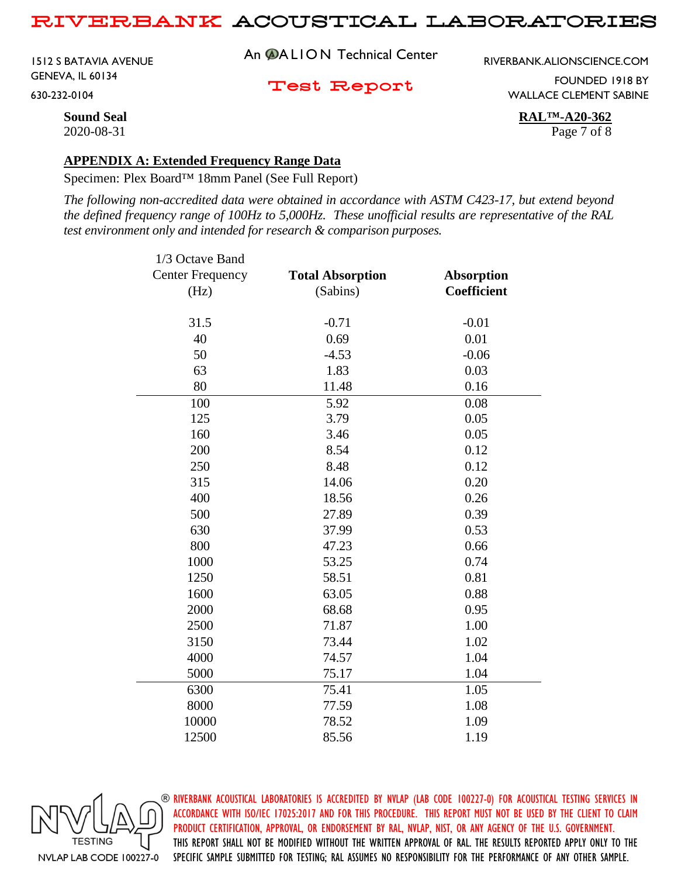1512 S BATAVIA AVENUE GENEVA, IL 60134 630-232-0104

An **@ALION** Technical Center

RIVERBANK.ALIONSCIENCE.COM

Test Report

FOUNDED 1918 BY WALLACE CLEMENT SABINE

**Sound Seal RAL™-A20-362** 2020-08-31 Page 7 of 8

### **APPENDIX A: Extended Frequency Range Data**

Specimen: Plex Board™ 18mm Panel (See Full Report)

*The following non-accredited data were obtained in accordance with ASTM C423-17, but extend beyond the defined frequency range of 100Hz to 5,000Hz. These unofficial results are representative of the RAL test environment only and intended for research & comparison purposes.* 

| 1/3 Octave Band         |                         |                   |
|-------------------------|-------------------------|-------------------|
| <b>Center Frequency</b> | <b>Total Absorption</b> | <b>Absorption</b> |
| (Hz)                    | (Sabins)                | Coefficient       |
| 31.5                    | $-0.71$                 | $-0.01$           |
|                         |                         |                   |
| 40                      | 0.69                    | 0.01              |
| 50                      | $-4.53$                 | $-0.06$           |
| 63                      | 1.83                    | 0.03              |
| 80                      | 11.48                   | 0.16              |
| 100                     | 5.92                    | 0.08              |
| 125                     | 3.79                    | 0.05              |
| 160                     | 3.46                    | 0.05              |
| 200                     | 8.54                    | 0.12              |
| 250                     | 8.48                    | 0.12              |
| 315                     | 14.06                   | 0.20              |
| 400                     | 18.56                   | 0.26              |
| 500                     | 27.89                   | 0.39              |
| 630                     | 37.99                   | 0.53              |
| 800                     | 47.23                   | 0.66              |
| 1000                    | 53.25                   | 0.74              |
| 1250                    | 58.51                   | 0.81              |
| 1600                    | 63.05                   | 0.88              |
| 2000                    | 68.68                   | 0.95              |
| 2500                    | 71.87                   | 1.00              |
| 3150                    | 73.44                   | 1.02              |
| 4000                    | 74.57                   | 1.04              |
| 5000                    | 75.17                   | 1.04              |
| 6300                    | 75.41                   | 1.05              |
| 8000                    | 77.59                   | 1.08              |
| 10000                   | 78.52                   | 1.09              |
| 12500                   | 85.56                   | 1.19              |